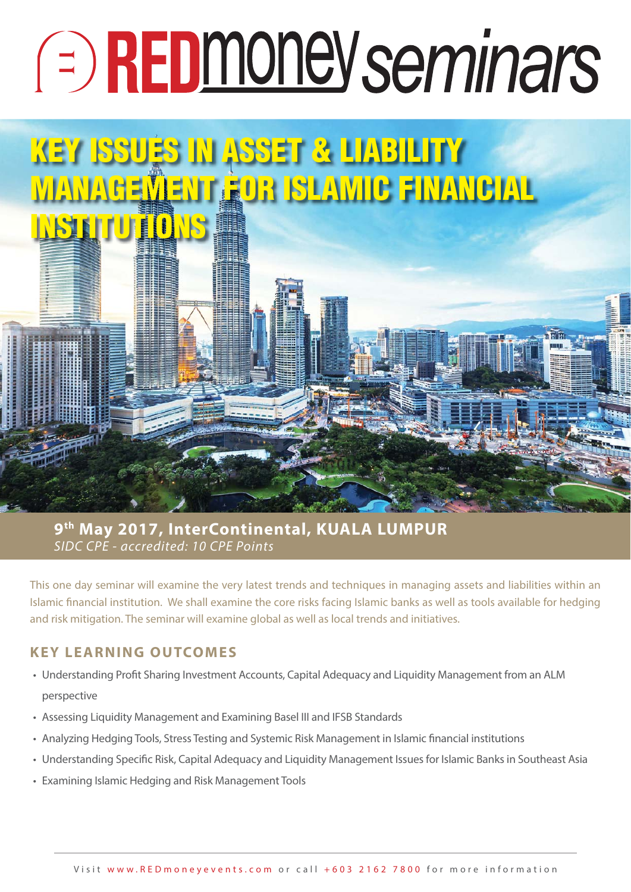# **EDMONE Seminars**

# **KEY ISSUES IN ASSET & LIABILITY MANAGEMENT FOR ISLAMIC FINANCIAL INSTRUTUTION**

SIDC CPE - accredited: 10 CPE Points **9th May 2017, InterContinental, KUALA LUMPUR**

This one day seminar will examine the very latest trends and techniques in managing assets and liabilities within an Islamic financial institution. We shall examine the core risks facing Islamic banks as well as tools available for hedging and risk mitigation. The seminar will examine global as well as local trends and initiatives.

# **KEY LEARNING OUTCOMES**

- Understanding Profit Sharing Investment Accounts, Capital Adequacy and Liquidity Management from an ALM perspective
- Assessing Liquidity Management and Examining Basel III and IFSB Standards
- Analyzing Hedging Tools, Stress Testing and Systemic Risk Management in Islamic financial institutions
- Understanding Specific Risk, Capital Adequacy and Liquidity Management Issues for Islamic Banks in Southeast Asia
- Examining Islamic Hedging and Risk Management Tools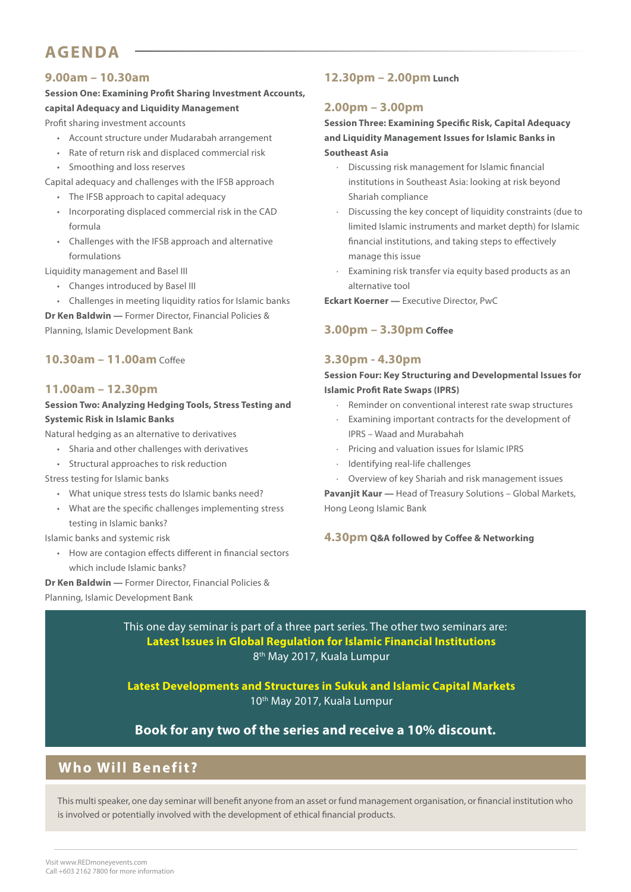# **AGENDA**

# **9.00am – 10.30am**

# **Session One: Examining Profit Sharing Investment Accounts, capital Adequacy and Liquidity Management**

Profit sharing investment accounts

- Account structure under Mudarabah arrangement
- Rate of return risk and displaced commercial risk
- Smoothing and loss reserves
- Capital adequacy and challenges with the IFSB approach
	- The IFSB approach to capital adequacy
	- Incorporating displaced commercial risk in the CAD formula
	- Challenges with the IFSB approach and alternative formulations

Liquidity management and Basel III

- Changes introduced by Basel III
- Challenges in meeting liquidity ratios for Islamic banks

**Dr Ken Baldwin —** Former Director, Financial Policies & Planning, Islamic Development Bank

# **10.30am – 11.00am** Coffee

# **11.00am – 12.30pm**

# **Session Two: Analyzing Hedging Tools, Stress Testing and Systemic Risk in Islamic Banks**

Natural hedging as an alternative to derivatives

- Sharia and other challenges with derivatives
- Structural approaches to risk reduction

Stress testing for Islamic banks

- What unique stress tests do Islamic banks need?
- What are the specific challenges implementing stress testing in Islamic banks?

Islamic banks and systemic risk

• How are contagion effects different in financial sectors which include Islamic banks?

**Dr Ken Baldwin —** Former Director, Financial Policies & Planning, Islamic Development Bank

# **12.30pm – 2.00pm Lunch**

# **2.00pm – 3.00pm**

# **Session Three: Examining Specific Risk, Capital Adequacy and Liquidity Management Issues for Islamic Banks in Southeast Asia**

- · Discussing risk management for Islamic financial institutions in Southeast Asia: looking at risk beyond Shariah compliance
- Discussing the key concept of liquidity constraints (due to limited Islamic instruments and market depth) for Islamic financial institutions, and taking steps to effectively manage this issue
- Examining risk transfer via equity based products as an alternative tool

**Eckart Koerner —** Executive Director, PwC

# **3.00pm – 3.30pm Coffee**

# **3.30pm - 4.30pm**

**Session Four: Key Structuring and Developmental Issues for Islamic Profit Rate Swaps (IPRS)**

- Reminder on conventional interest rate swap structures
- Examining important contracts for the development of IPRS – Waad and Murabahah
- · Pricing and valuation issues for Islamic IPRS
- · Identifying real-life challenges
- · Overview of key Shariah and risk management issues

**Pavanjit Kaur —** Head of Treasury Solutions – Global Markets, Hong Leong Islamic Bank

### **4.30pm Q&A followed by Coffee & Networking**

This one day seminar is part of a three part series. The other two seminars are: **Latest Issues in Global Regulation for Islamic Financial Institutions** 8th May 2017, Kuala Lumpur

**Latest Developments and Structures in Sukuk and Islamic Capital Markets**  10th May 2017, Kuala Lumpur

# **Book for any two of the series and receive a 10% discount.**

# **Who Will Benefit?**

This multi speaker, one day seminar will benefit anyone from an asset or fund management organisation, or financial institution who is involved or potentially involved with the development of ethical financial products.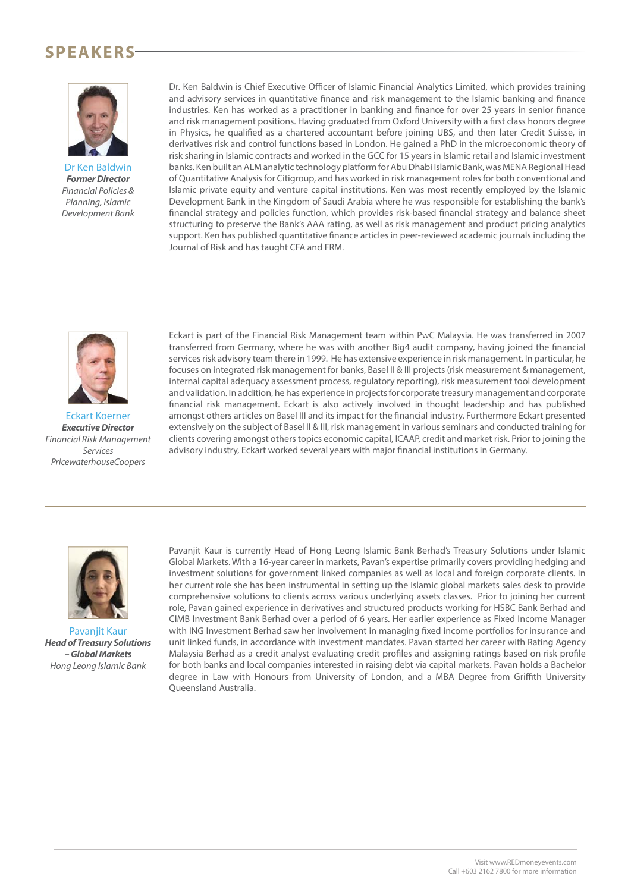# **SPEAKERS**



Dr Ken Baldwin *Former Director* Financial Policies & Planning, Islamic Development Bank

Dr. Ken Baldwin is Chief Executive Officer of Islamic Financial Analytics Limited, which provides training and advisory services in quantitative finance and risk management to the Islamic banking and finance industries. Ken has worked as a practitioner in banking and finance for over 25 years in senior finance and risk management positions. Having graduated from Oxford University with a first class honors degree in Physics, he qualified as a chartered accountant before joining UBS, and then later Credit Suisse, in derivatives risk and control functions based in London. He gained a PhD in the microeconomic theory of risk sharing in Islamic contracts and worked in the GCC for 15 years in Islamic retail and Islamic investment banks. Ken built an ALM analytic technology platform for Abu Dhabi Islamic Bank, was MENA Regional Head of Quantitative Analysis for Citigroup, and has worked in risk management roles for both conventional and Islamic private equity and venture capital institutions. Ken was most recently employed by the Islamic Development Bank in the Kingdom of Saudi Arabia where he was responsible for establishing the bank's financial strategy and policies function, which provides risk-based financial strategy and balance sheet structuring to preserve the Bank's AAA rating, as well as risk management and product pricing analytics support. Ken has published quantitative finance articles in peer-reviewed academic journals including the Journal of Risk and has taught CFA and FRM.



Eckart Koerner *Executive Director* Financial Risk Management Services PricewaterhouseCoopers

Eckart is part of the Financial Risk Management team within PwC Malaysia. He was transferred in 2007 transferred from Germany, where he was with another Big4 audit company, having joined the financial services risk advisory team there in 1999. He has extensive experience in risk management. In particular, he focuses on integrated risk management for banks, Basel II & III projects (risk measurement & management, internal capital adequacy assessment process, regulatory reporting), risk measurement tool development and validation. In addition, he has experience in projects for corporate treasury management and corporate financial risk management. Eckart is also actively involved in thought leadership and has published amongst others articles on Basel III and its impact for the financial industry. Furthermore Eckart presented extensively on the subject of Basel II & III, risk management in various seminars and conducted training for clients covering amongst others topics economic capital, ICAAP, credit and market risk. Prior to joining the advisory industry, Eckart worked several years with major financial institutions in Germany.



Pavanjit Kaur *Head of Treasury Solutions – Global Markets* Hong Leong Islamic Bank

Pavanjit Kaur is currently Head of Hong Leong Islamic Bank Berhad's Treasury Solutions under Islamic Global Markets. With a 16-year career in markets, Pavan's expertise primarily covers providing hedging and investment solutions for government linked companies as well as local and foreign corporate clients. In her current role she has been instrumental in setting up the Islamic global markets sales desk to provide comprehensive solutions to clients across various underlying assets classes. Prior to joining her current role, Pavan gained experience in derivatives and structured products working for HSBC Bank Berhad and CIMB Investment Bank Berhad over a period of 6 years. Her earlier experience as Fixed Income Manager with ING Investment Berhad saw her involvement in managing fixed income portfolios for insurance and unit linked funds, in accordance with investment mandates. Pavan started her career with Rating Agency Malaysia Berhad as a credit analyst evaluating credit profiles and assigning ratings based on risk profile for both banks and local companies interested in raising debt via capital markets. Pavan holds a Bachelor degree in Law with Honours from University of London, and a MBA Degree from Griffith University Queensland Australia.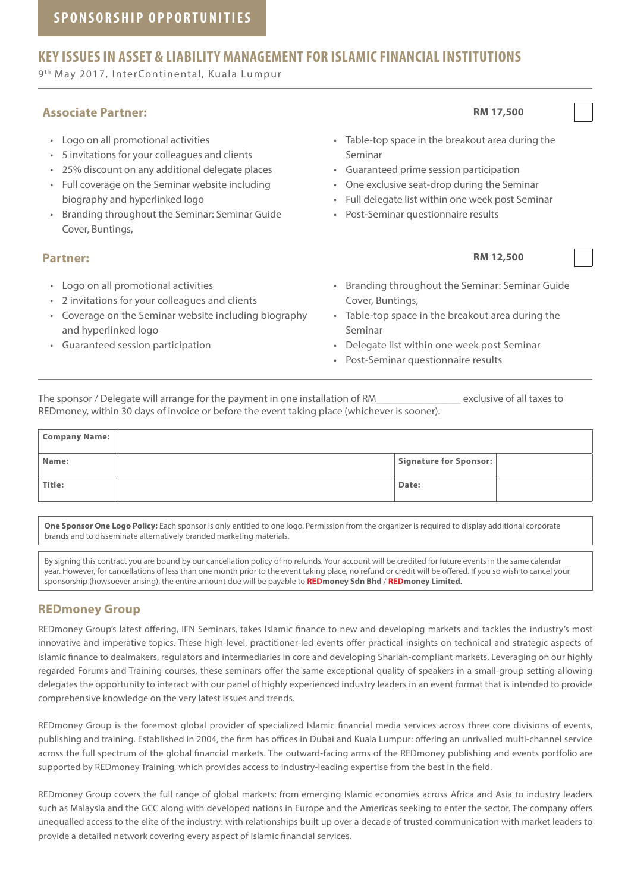# **KEY ISSUES IN ASSET & LIABILITY MANAGEMENT FOR ISLAMIC FINANCIAL INSTITUTIONS**

9th May 2017, InterContinental, Kuala Lumpur

# **Associate Partner: RM 17,500**

- Logo on all promotional activities
- 5 invitations for your colleagues and clients
- 25% discount on any additional delegate places
- Full coverage on the Seminar website including biography and hyperlinked logo
- Branding throughout the Seminar: Seminar Guide Cover, Buntings,

## **Partner: RM 12,500**

- Logo on all promotional activities
- 2 invitations for your colleagues and clients
- Coverage on the Seminar website including biography and hyperlinked logo
- Guaranteed session participation

• Table-top space in the breakout area during the Seminar

- Guaranteed prime session participation
- One exclusive seat-drop during the Seminar
- Full delegate list within one week post Seminar
- Post-Seminar questionnaire results
	-
- Branding throughout the Seminar: Seminar Guide Cover, Buntings,
- Table-top space in the breakout area during the Seminar
- Delegate list within one week post Seminar
- Post-Seminar questionnaire results

The sponsor / Delegate will arrange for the payment in one installation of RM The sponsor / Delegate to the payment in one installation of RM REDmoney, within 30 days of invoice or before the event taking place (whichever is sooner).

| <b>Company Name:</b> |                        |  |
|----------------------|------------------------|--|
| Name:                | Signature for Sponsor: |  |
| Title:               | Date:                  |  |

**One Sponsor One Logo Policy:** Each sponsor is only entitled to one logo. Permission from the organizer is required to display additional corporate brands and to disseminate alternatively branded marketing materials.

By signing this contract you are bound by our cancellation policy of no refunds. Your account will be credited for future events in the same calendar year. However, for cancellations of less than one month prior to the event taking place, no refund or credit will be offered. If you so wish to cancel your sponsorship (howsoever arising), the entire amount due will be payable to **REDmoney Sdn Bhd** / **REDmoney Limited**.

# **REDmoney Group**

REDmoney Group's latest offering, IFN Seminars, takes Islamic finance to new and developing markets and tackles the industry's most innovative and imperative topics. These high-level, practitioner-led events offer practical insights on technical and strategic aspects of Islamic finance to dealmakers, regulators and intermediaries in core and developing Shariah-compliant markets. Leveraging on our highly regarded Forums and Training courses, these seminars offer the same exceptional quality of speakers in a small-group setting allowing delegates the opportunity to interact with our panel of highly experienced industry leaders in an event format that is intended to provide comprehensive knowledge on the very latest issues and trends.

REDmoney Group is the foremost global provider of specialized Islamic financial media services across three core divisions of events, publishing and training. Established in 2004, the firm has offices in Dubai and Kuala Lumpur: offering an unrivalled multi-channel service across the full spectrum of the global financial markets. The outward-facing arms of the REDmoney publishing and events portfolio are supported by REDmoney Training, which provides access to industry-leading expertise from the best in the field.

REDmoney Group covers the full range of global markets: from emerging Islamic economies across Africa and Asia to industry leaders such as Malaysia and the GCC along with developed nations in Europe and the Americas seeking to enter the sector. The company offers unequalled access to the elite of the industry: with relationships built up over a decade of trusted communication with market leaders to provide a detailed network covering every aspect of Islamic financial services.